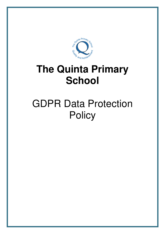

# **The Quinta Primary School**

# GDPR Data Protection **Policy**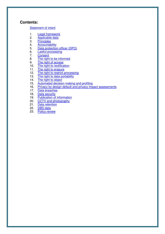## **Contents:**

#### Statement of intent

- 1. Legal framework
- 2. Applicable data<br>3. Principles
- 3. Principles<br>4. Accountal
- 4. Accountability<br>5. Data protectio
- 5. Data protection officer (DPO)<br>6. Lawful processing
- 6. **Lawful processing**<br>7. Consent
- **Consent**
- 8. The right to be informed<br>9. The right of access
- 9. The right of access<br>10. The right to rectifica
- The right to rectification
- 11. The right to erasure<br>12. The right to restrict p
- The right to restrict processing
- 13. The right to data portability
- 14. The right to object
- 15. Automated decision making and profiling<br>16. Privacy by design default and privacy imp
- 16. Privacy by design default and privacy impact assessments<br>17. Data breaches
- Data breaches
- 18. Data security
- 19. Publication of information<br>20. CCTV and photography
- CCTV and photography
- 21. Data retention<br>22. DBS data
- 22. **DBS data**<br>23. Policy rev
- Policy review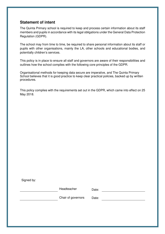# **Statement of intent**

The Quinta Primary school is required to keep and process certain information about its staff members and pupils in accordance with its legal obligations under the General Data Protection Regulation (GDPR).

The school may from time to time, be required to share personal information about its staff or pupils with other organisations, mainly the LA, other schools and educational bodies, and potentially children's services.

This policy is in place to ensure all staff and governors are aware of their responsibilities and outlines how the school complies with the following core principles of the GDPR.

Organisational methods for keeping data secure are imperative, and The Quinta Primary School believes that it is good practice to keep clear practical policies, backed up by written procedures.

This policy complies with the requirements set out in the GDPR, which came into effect on 25 May 2018.

Signed by:

Headteacher Date:

Chair of governors Date: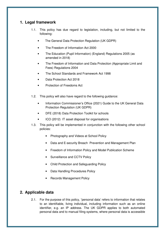# **1. Legal framework**

- 1.1. This policy has due regard to legislation, including, but not limited to the following:
	- The General Data Protection Regulation (UK GDPR)
	- The Freedom of Information Act 2000
	- The Education (Pupil Information) (England) Regulations 2005 (as amended in 2018)
	- The Freedom of Information and Data Protection (Appropriate Limit and Fees) Regulations 2004
	- The School Standards and Framework Act 1998
	- Data Protection Act 2018
	- Protection of Freedoms Act
- 1.2. This policy will also have regard to the following guidance:
	- Information Commissioner's Office (2021) Guide to the UK General Data Protection Regulation (UK GDPR)
	- DFE (2018) Data Protection Toolkit for schools
	- ICO (2012) IT asset disposal for organisations
- 1.3. This policy will be implemented in conjunction with the following other school policies:
	- Photography and Videos at School Policy
	- Data and E-security Breach Prevention and Management Plan
	- Freedom of Information Policy and Model Publication Scheme
	- Surveillance and CCTV Policy
	- Child Protection and Safeguarding Policy
	- Data Handling Procedures Policy
	- Records Management Policy

# **2. Applicable data**

2.1. For the purpose of this policy, **'**personal data' refers to information that relates to an identifiable, living individual, including information such as an online identifier, e.g. an IP address. The UK GDPR applies to both automated personal data and to manual filing systems, where personal data is accessible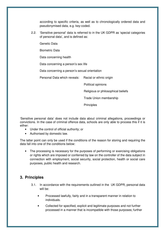according to specific criteria, as well as to chronologically ordered data and pseudonymised data, e.g. key-coded.

2.2. 'Sensitive personal' data is referred to in the UK GDPR as 'special categories of personal data', and is defined as:

Genetic Data

Biometric Data

Data concerning health

Data concerning a person's sex life

Data concerning a person's sexual orientation

Personal Data which reveals: Racial or ethnic origin

Political opinions

Religious or philosophical beliefs

Trade Union membership

**Principles** 

'Sensitive personal data' does not include data about criminal allegations, proceedings or convictions. In the case of criminal offence data, schools are only able to process this if it is either:

- Under the control of official authority; or
- Authorised by domestic law.

The latter point can only be used if the conditions of the reason for storing and requiring the data fall into one of the conditions below:

• The processing is necessary for the purposes of performing or exercising obligations or rights which are imposed or conferred by law on the controller of the data subject in connection with employment, social security, social protection, health or social care purposes, public health and research.

# **3. Principles**

- 3.1. In accordance with the requirements outlined in the UK GDPR, personal data will be:
	- Processed lawfully, fairly and in a transparent manner in relation to individuals.
	- Collected for specified, explicit and legitimate purposes and not further processed in a manner that is incompatible with those purposes; further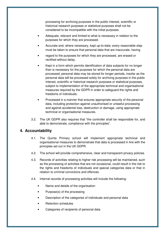processing for archiving purposes in the public interest, scientific or historical research purposes or statistical purposes shall not be considered to be incompatible with the initial purposes.

- Adequate, relevant and limited to what is necessary in relation to the purposes for which they are processed.
- Accurate and, where necessary, kept up-to-date; every reasonable step must be taken to ensure that personal data that are inaccurate, having
- regard to the purposes for which they are processed, are erased or rectified without delay.
- Kept in a form which permits identification of data subjects for no longer than is necessary for the purposes for which the personal data are processed; personal data may be stored for longer periods, insofar as the personal data will be processed solely for archiving purposes in the public interest, scientific or historical research purposes or statistical purposes, subject to implementation of the appropriate technical and organisational measures required by the GDPR in order to safeguard the rights and freedoms of individuals.
- Processed in a manner that ensures appropriate security of the personal data, including protection against unauthorised or unlawful processing and against accidental loss, destruction or damage, using appropriate technical or organisational measures.
- 3.2. The UK GDPR also requires that "the controller shall be responsible for, and able to demonstrate, compliance with the principles".

## **4. Accountability**

- 4.1. The Quinta Primary school will implement appropriate technical and organisational measures to demonstrate that data is processed in line with the principles set out in the UK GDPR.
- 4.2. The school will provide comprehensive, clear and transparent privacy policies.
- 4.3. Records of activities relating to higher risk processing will be maintained, such as the processing of activities that are not occasional, could result in the risk to the rights and freedoms of individuals and special categories data or that in relation to criminal convictions and offences.
- 4.4. Internal records of processing activities will include the following:
	- Name and details of the organisation
	- Purpose(s) of the processing
	- Description of the categories of individuals and personal data
	- Retention schedules
	- Categories of recipients of personal data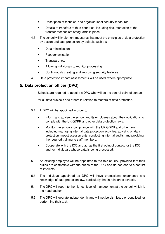- Description of technical and organisational security measures
- Details of transfers to third countries, including documentation of the transfer mechanism safeguards in place
- 4.5. The school will implement measures that meet the principles of data protection by design and data protection by default, such as:
	- Data minimisation.
	- Pseudonymisation.
	- Transparency.
	- Allowing individuals to monitor processing.
	- Continuously creating and improving security features.
- 4.6. Data protection impact assessments will be used, where appropriate.

# **5. Data protection officer (DPO)**

Schools are required to appoint a DPO who will be the central point of contact

for all data subjects and others in relation to matters of data protection.

- 5.1. A DPO will be appointed in order to:
	- Inform and advise the school and its employees about their obligations to comply with the UK GDPR and other data protection laws.
	- Monitor the school's compliance with the UK GDPR and other laws, including managing internal data protection activities, advising on data protection impact assessments, conducting internal audits, and providing the required training to staff members.
	- Cooperate with the ICO and act as the first point of contact for the ICO and for individuals whose data is being processed.
- 5.2. An existing employee will be appointed to the role of DPO provided that their duties are compatible with the duties of the DPO and do not lead to a conflict of interests.
- 5.3. The individual appointed as DPO will have professional experience and knowledge of data protection law, particularly that in relation to schools.
- 5.4. The DPO will report to the highest level of management at the school, which is the headteacher.
- 5.5. The DPO will operate independently and will not be dismissed or penalised for performing their task.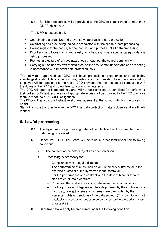5.6. Sufficient resources will be provided to the DPO to enable them to meet their GDPR obligations.

The DPO is responsible for:

- Coordinating a proactive and preventative approach to data protection.
- Calculating and evaluating the risks associated with the school's data processing.
- Having regard to the nature, scope, context, and purposes of all data processing.
- Prioritising and focussing on more risky activities, e.g. where special category data is being processed.
- Promoting a culture of privacy awareness throughout the school community.
- Carrying out ad hoc reviews of data practices to ensure staff understand and are acting in accordance with relevant data protection laws.

The individual appointed as DPO will have professional experience and be highly knowledgeable about data protection law, particularly that in relation to schools. An existing employee will be appointed to the role of DPO provided that their duties are compatible with the duties of the DPO and do not lead to a conflict of interests.

The DPO will operate independently and will not be dismissed or penalised for performing their duties. Sufficient resources and appropriate access will be provided to the DPO to enable them to meet their UK GDPR obligations.

The DPO will report to the highest level of management at the school, which is the governing board.

Staff will ensure that they involve the DPO in all data protection matters closely and in a timely manner.

# **6. Lawful processing**

- 6.1. The legal basis for processing data will be identified and documented prior to data being processed.
- 6.2. Under the UK GDPR, data will be lawfully processed under the following conditions:
	- The consent of the data subject has been obtained.
	- Processing is necessary for:
		- Compliance with a legal obligation.
		- The performance of a task carried out in the public interest or in the exercise of official authority vested in the controller.
		- For the performance of a contract with the data subject or to take steps to enter into a contract.
		- Protecting the vital interests of a data subject or another person.
		- For the purposes of legitimate interests pursued by the controller or a third party, except where such interests are overridden by the interests, rights or freedoms of the data subject. (This condition is not available to processing undertaken by the school in the performance of its tasks.)
- 6.3. Sensitive data will only be processed under the following conditions: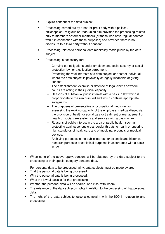- Explicit consent of the data subject.
- Processing carried out by a not-for-profit body with a political, philosophical, religious or trade union aim provided the processing relates only to members or former members (or those who have regular contact with it in connection with those purposes) and provided there is no disclosure to a third party without consent.
- Processing relates to personal data manifestly made public by the data subject.
- Processing is necessary for:
	- Carrying out obligations under employment, social security or social protection law, or a collective agreement.
	- Protecting the vital interests of a data subject or another individual where the data subject is physically or legally incapable of giving consent.
	- The establishment, exercise or defence of legal claims or where courts are acting in their judicial capacity.
	- Reasons of substantial public interest with a basis in law which is proportionate to the aim pursued and which contains appropriate safeguards.
	- The purposes of preventative or occupational medicine, for assessing the working capacity of the employee, medical diagnosis, the provision of health or social care or treatment or management of health or social care systems and services with a basis in law.
	- Reasons of public interest in the area of public health, such as protecting against serious cross-border threats to health or ensuring high standards of healthcare and of medicinal products or medical devices.
	- Archiving purposes in the public interest, or scientific and historical research purposes or statistical purposes in accordance with a basis in law.
- When none of the above apply, consent will be obtained by the data subject to the processing of their special category personal data.

For personal data to be processed fairly, data subjects must be made aware:

- That the personal data is being processed.
- Why the personal data is being processed.
- What the lawful basis is for that processing.
- Whether the personal data will be shared, and if so, with whom.
- The existence of the data subject's rights in relation to the processing of that personal data.
- The right of the data subject to raise a complaint with the ICO in relation to any processing.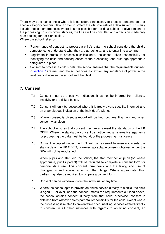There may be circumstances where it is considered necessary to process personal data or special category personal data in order to protect the vital interests of a data subject. This may include medical emergencies where it is not possible for the data subject to give consent to the processing. In such circumstances, the DPO will be consulted and a decision made only after seeking further clarification.

Where the school relies on:

- 'Performance of contract' to process a child's data, the school considers the child's competence to understand what they are agreeing to, and to enter into a contract.
- 'Legitimate interests' to process a child's data, the school takes responsibility for identifying the risks and consequences of the processing, and puts age-appropriate safeguards in place.
- Consent to process a child's data, the school ensures that the requirements outlined in section 7 are met, and the school does not exploit any imbalance of power in the relationship between the school and the child.

# **7. Consent**

- 7.1. Consent must be a positive indication. It cannot be inferred from silence, inactivity or pre-ticked boxes.
- 7.2. Consent will only be accepted where it is freely given, specific, informed and an unambiguous indication of the individual's wishes.
- 7.3. Where consent is given, a record will be kept documenting how and when consent was given.
- 7.4. The school ensures that consent mechanisms meet the standards of the UK GDPR. Where the standard of consent cannot be met, an alternative legal basis for processing the data must be found, or the processing must cease.
- 7.5. Consent accepted under the DPA will be reviewed to ensure it meets the standards of the UK GDPR; however, acceptable consent obtained under the DPA will not be reobtained.

When pupils and staff join the school, the staff member or pupil (or, where appropriate, pupil's parent) will be required to complete a consent form for personal data use. This consent form deals with the taking and use of photographs and videos, amongst other things. Where appropriate, third parties may also be required to compete a consent form.

- 7.6. Consent can be withdrawn from the individual at any time.
- 7.7. Where the school opts to provide an online service directly to a child, the child is aged 13 or over, and the consent meets the requirements outlined above, the school obtains consent directly from that child; otherwise, consent is obtained from whoever holds parental responsibility for the child, except where the processing is related to preventative or counselling services offered directly to children. In all other instances with regards to obtaining consent, an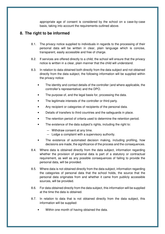appropriate age of consent is considered by the school on a case-by-case basis, taking into account the requirements outlined above.

# **8. The right to be informed**

- 8.1. The privacy notice supplied to individuals in regards to the processing of their personal data will be written in clear, plain language which is concise, transparent, easily accessible and free of charge.
- 8.2. If services are offered directly to a child, the school will ensure that the privacy notice is written in a clear, plain manner that the child will understand.
- 8.3. In relation to data obtained both directly from the data subject and not obtained directly from the data subject, the following information will be supplied within the privacy notice:
	- The identity and contact details of the controller (and where applicable, the controller's representative) and the DPO.
	- The purpose of, and the legal basis for, processing the data.
	- The legitimate interests of the controller or third party.
	- Any recipient or categories of recipients of the personal data.
	- Details of transfers to third countries and the safeguards in place.
	- The retention period of criteria used to determine the retention period.
	- The existence of the data subject's rights, including the right to:
		- Withdraw consent at any time.
		- Lodge a complaint with a supervisory authority.
	- The existence of automated decision making, including profiling, how decisions are made, the significance of the process and the consequences.
- 8.4. Where data is obtained directly from the data subject, information regarding whether the provision of personal data is part of a statutory or contractual requirement, as well as any possible consequences of failing to provide the personal data, will be provided.
- 8.5. Where data is not obtained directly from the data subject, information regarding the categories of personal data that the school holds, the source that the personal data originates from and whether it came from publicly accessible sources, will be provided.
- 8.6. For data obtained directly from the data subject, this information will be supplied at the time the data is obtained.
- 8.7. In relation to data that is not obtained directly from the data subject, this information will be supplied:
	- Within one month of having obtained the data.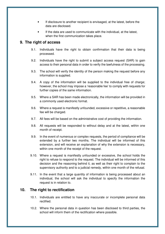- If disclosure to another recipient is envisaged, at the latest, before the data are disclosed.
- If the data are used to communicate with the individual, at the latest, when the first communication takes place.

## **9. The right of access**

- 9.1. Individuals have the right to obtain confirmation that their data is being processed.
- 9.2. Individuals have the right to submit a subject access request (SAR) to gain access to their personal data in order to verify the lawfulness of the processing.
- 9.3. The school will verify the identity of the person making the request before any information is supplied.
- 9.4. A copy of the information will be supplied to the individual free of charge; however, the school may impose a 'reasonable fee' to comply with requests for further copies of the same information.
- 9.5. Where a SAR has been made electronically, the information will be provided in a commonly used electronic format.
- 9.6. Where a request is manifestly unfounded, excessive or repetitive, a reasonable fee will be charged.
- 9.7. All fees will be based on the administrative cost of providing the information.
- 9.8. All requests will be responded to without delay and at the latest, within one month of receipt.
- 9.9. In the event of numerous or complex requests, the period of compliance will be extended by a further two months. The individual will be informed of this extension, and will receive an explanation of why the extension is necessary, within one month of the receipt of the request.
- 9.10. Where a request is manifestly unfounded or excessive, the school holds the right to refuse to respond to the request. The individual will be informed of this decision and the reasoning behind it, as well as their right to complain to the supervisory authority and to a judicial remedy, within one month of the refusal.
- 9.11. In the event that a large quantity of information is being processed about an individual, the school will ask the individual to specify the information the request is in relation to.

# **10. The right to rectification**

- 10.1. Individuals are entitled to have any inaccurate or incomplete personal data rectified.
- 10.2. Where the personal data in question has been disclosed to third parties, the school will inform them of the rectification where possible.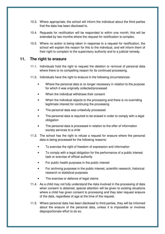- 10.3. Where appropriate, the school will inform the individual about the third parties that the data has been disclosed to.
- 10.4. Requests for rectification will be responded to within one month; this will be extended by two months where the request for rectification is complex.
- 10.5. Where no action is being taken in response to a request for rectification, the school will explain the reason for this to the individual, and will inform them of their right to complain to the supervisory authority and to a judicial remedy.

### **11. The right to erasure**

- 11.1. Individuals hold the right to request the deletion or removal of personal data where there is no compelling reason for its continued processing.
- 11.2. Individuals have the right to erasure in the following circumstances:
	- Where the personal data is no longer necessary in relation to the purpose for which it was originally collected/processed
	- When the individual withdraws their consent
	- When the individual objects to the processing and there is no overriding legitimate interest for continuing the processing
	- The personal data was unlawfully processed
	- The personal data is required to be erased in order to comply with a legal obligation
	- The personal data is processed in relation to the offer of information society services to a child
- 11.3. The school has the right to refuse a request for erasure where the personal data is being processed for the following reasons:
	- To exercise the right of freedom of expression and information
	- To comply with a legal obligation for the performance of a public interest task or exercise of official authority
	- For public health purposes in the public interest
	- For archiving purposes in the public interest, scientific research, historical research or statistical purposes
	- The exercise or defence of legal claims
- 11.4. As a child may not fully understand the risks involved in the processing of data when consent is obtained, special attention will be given to existing situations where a child has given consent to processing and they later request erasure of the data, regardless of age at the time of the request.
- 11.5. Where personal data has been disclosed to third parties, they will be informed about the erasure of the personal data, unless it is impossible or involves disproportionate effort to do so.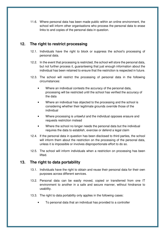11.6. Where personal data has been made public within an online environment, the school will inform other organisations who process the personal data to erase links to and copies of the personal data in question.

# **12. The right to restrict processing**

- 12.1. Individuals have the right to block or suppress the school's processing of personal data.
- 12.2. In the event that processing is restricted, the school will store the personal data, but not further process it, guaranteeing that just enough information about the individual has been retained to ensure that the restriction is respected in future.
- 12.3. The school will restrict the processing of personal data in the following circumstances:
	- Where an individual contests the accuracy of the personal data, processing will be restricted until the school has verified the accuracy of the data
	- Where an individual has objected to the processing and the school is considering whether their legitimate grounds override those of the individual
	- Where processing is unlawful and the individual opposes erasure and requests restriction instead
	- Where the school no longer needs the personal data but the individual requires the data to establish, exercise or defend a legal claim
- 12.4. If the personal data in question has been disclosed to third parties, the school will inform them about the restriction on the processing of the personal data, unless it is impossible or involves disproportionate effort to do so.
- 12.5. The school will inform individuals when a restriction on processing has been lifted.

# **13. The right to data portability**

- 13.1. Individuals have the right to obtain and reuse their personal data for their own purposes across different services.
- 13.2. Personal data can be easily moved, copied or transferred from one IT environment to another in a safe and secure manner, without hindrance to usability.
- 13.3. The right to data portability only applies in the following cases:
	- To personal data that an individual has provided to a controller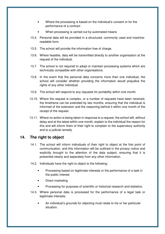- Where the processing is based on the individual's consent or for the performance of a contract
- When processing is carried out by automated means
- 13.4. Personal data will be provided in a structured, commonly used and machinereadable form.
- 13.5. The school will provide the information free of charge.
- 13.6. Where feasible, data will be transmitted directly to another organisation at the request of the individual.
- 13.7. The school is not required to adopt or maintain processing systems which are technically compatible with other organisations.
- 13.8. In the event that the personal data concerns more than one individual, the school will consider whether providing the information would prejudice the rights of any other individual.
- 13.9. The school will respond to any requests for portability within one month.
- 13.10. Where the request is complex, or a number of requests have been received, the timeframe can be extended by two months, ensuring that the individual is informed of the extension and the reasoning behind it within one month of the receipt of the request.
- 13.11. Where no action is being taken in response to a request, the school will, without delay and at the latest within one month, explain to the individual the reason for this and will inform them of their right to complain to the supervisory authority and to a judicial remedy.

# **14. The right to object**

- 14.1. The school will inform individuals of their right to object at the first point of communication, and this information will be outlined in the privacy notice and explicitly brought to the attention of the data subject, ensuring that it is presented clearly and separately from any other information.
- 14.2. Individuals have the right to object to the following:
	- Processing based on legitimate interests or the performance of a task in the public interest
	- Direct marketing
	- Processing for purposes of scientific or historical research and statistics.
- 14.3. Where personal data is processed for the performance of a legal task or legitimate interests:
	- An individual's grounds for objecting must relate to his or her particular situation.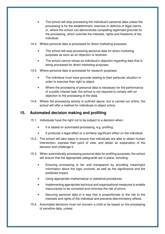- The school will stop processing the individual's personal data unless the processing is for the establishment, exercise or defence of legal claims, or, where the school can demonstrate compelling legitimate grounds for the processing, which override the interests, rights and freedoms of the individual.
- 14.4. Where personal data is processed for direct marketing purposes:
	- The school will stop processing personal data for direct marketing purposes as soon as an objection is received.
	- The school cannot refuse an individual's objection regarding data that is being processed for direct marketing purposes.
- 14.5. Where personal data is processed for research purposes:
	- The individual must have grounds relating to their particular situation in order to exercise their right to object.
	- Where the processing of personal data is necessary for the performance of a public interest task, the school is not required to comply with an objection to the processing of the data.
- 14.6. Where the processing activity is outlined above, but is carried out online, the school will offer a method for individuals to object online.

## **15. Automated decision making and profiling**

- 15.1. Individuals have the right not to be subject to a decision when:
	- It is based on automated processing, e.g. profiling.
	- It produces a legal effect or a similarly significant effect on the individual.
- 15.2. The school will take steps to ensure that individuals are able to obtain human intervention, express their point of view, and obtain an explanation of the decision and challenge it.
- 15.3. When automatically processing personal data for profiling purposes, the school will ensure that the appropriate safeguards are in place, including:
	- Ensuring processing is fair and transparent by providing meaningful information about the logic involved, as well as the significance and the predicted impact.
	- Using appropriate mathematical or statistical procedures.
	- Implementing appropriate technical and organisational measures to enable inaccuracies to be corrected and minimise the risk of errors.
	- Securing personal data in a way that is proportionate to the risk to the interests and rights of the individual and prevents discriminatory effects.
- 15.4. Automated decisions must not concern a child or be based on the processing of sensitive data, unless: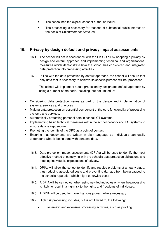- The school has the explicit consent of the individual.
- The processing is necessary for reasons of substantial public interest on the basis of Union/Member State law.

# **16. Privacy by design default and privacy impact assessments**

- 16.1. The school will act in accordance with the UK GDPR by adopting a privacy by design and default approach and implementing technical and organisational measures which demonstrate how the school has considered and integrated data protection into processing activities.
- 16.2. In line with the data protection by default approach, the school will ensure that only data that is necessary to achieve its specific purpose will be processed.

 The school will implement a data protection by design and default approach by using a number of methods, including, but not limited to:

- Considering data protection issues as part of the design and implementation of systems, services and practices.
- Making data protection an essential component of the core functionality of processing systems and services.
- Automatically protecting personal data in school ICT systems.
- Implementing basic technical measures within the school network and ICT systems to ensure data is kept secure.
- Promoting the identity of the DPO as a point of contact.
- Ensuring that documents are written in plain language so individuals can easily understand what is being done with personal data.
	- 16.3. Data protection impact assessments (DPIAs) will be used to identify the most effective method of complying with the school's data protection obligations and meeting individuals' expectations of privacy.
	- 16.4. DPIAs will allow the school to identify and resolve problems at an early stage, thus reducing associated costs and preventing damage from being caused to the school's reputation which might otherwise occur.
	- 16.5. A DPIA will be carried out when using new technologies or when the processing is likely to result in a high risk to the rights and freedoms of individuals.
	- 16.6. A DPIA will be used for more than one project, where necessary.
	- 16.7. High risk processing includes, but is not limited to, the following:
		- Systematic and extensive processing activities, such as profiling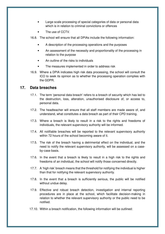- Large scale processing of special categories of data or personal data which is in relation to criminal convictions or offences
- The use of CCTV.
- 16.8. The school will ensure that all DPIAs include the following information:
	- A description of the processing operations and the purposes
	- An assessment of the necessity and proportionality of the processing in relation to the purpose
	- An outline of the risks to individuals
	- The measures implemented in order to address risk
- 16.9. Where a DPIA indicates high risk data processing, the school will consult the ICO to seek its opinion as to whether the processing operation complies with the GDPR.

## **17. Data breaches**

- 17.1. The term 'personal data breach' refers to a breach of security which has led to the destruction, loss, alteration, unauthorised disclosure of, or access to, personal data.
- 17.2. The headteacher will ensure that all staff members are made aware of, and understand, what constitutes a data breach as part of their CPD training.
- 17.3. Where a breach is likely to result in a risk to the rights and freedoms of individuals, the relevant supervisory authority will be informed.
- 17.4. All notifiable breaches will be reported to the relevant supervisory authority within 72 hours of the school becoming aware of it.
- 17.5. The risk of the breach having a detrimental effect on the individual, and the need to notify the relevant supervisory authority, will be assessed on a caseby-case basis.
- 17.6. In the event that a breach is likely to result in a high risk to the rights and freedoms of an individual, the school will notify those concerned directly.
- 17.7. A 'high risk' breach means that the threshold for notifying the individual is higher than that for notifying the relevant supervisory authority.
- 17.8. In the event that a breach is sufficiently serious, the public will be notified without undue delay.
- 17.9. Effective and robust breach detection, investigation and internal reporting procedures are in place at the school, which facilitate decision-making in relation to whether the relevant supervisory authority or the public need to be notified.
- 17.10. Within a breach notification, the following information will be outlined: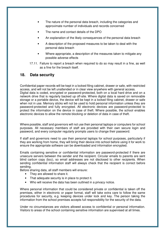- The nature of the personal data breach, including the categories and approximate number of individuals and records concerned
- The name and contact details of the DPO
- An explanation of the likely consequences of the personal data breach
- A description of the proposed measures to be taken to deal with the personal data breach
- Where appropriate, a description of the measures taken to mitigate any possible adverse effects
- 17.11. Failure to report a breach when required to do so may result in a fine, as well as a fine for the breach itself.

## **18. Data security**

Confidential paper records will be kept in a locked filing cabinet, drawer or safe, with restricted access, and will not be left unattended or in clear view anywhere with general access. Digital data is coded, encrypted or password-protected, both on a local hard drive and on a network drive that is regularly backed up off-site. Where digital data is saved on removable storage or a portable device, the device will be kept in a locked filing cabinet, drawer or safe when not in use. Memory sticks will not be used to hold personal information unless they are password-protected and fully encrypted. All electronic devices are password-protected to protect the information on the device in case of theft. Where possible, the school enables electronic devices to allow the remote blocking or deletion of data in case of theft.

Where possible, staff and governors will not use their personal laptops or computers for school purposes. All necessary members of staff are provided with their own secure login and password, and every computer regularly prompts users to change their password.

If staff and governors need to use their personal laptops for school purposes, particularly if they are working from home, they will bring their device into school before using it for work to ensure the appropriate software can be downloaded and information encrypted.

Emails containing sensitive or confidential information are password-protected if there are unsecure servers between the sender and the recipient. Circular emails to parents are sent blind carbon copy (bcc), so email addresses are not disclosed to other recipients. When sending confidential information staff will always check that the recipient is correct before sending.

Before sharing data, all staff members will ensure:

- They are allowed to share it.
- That adequate security is in place to protect it.
- Who will receive the data has been outlined in a privacy notice.

Where personal information that could be considered private or confidential is taken off the premises, either in electronic or paper format, staff will take extra care to follow the same procedures for security, e.g. keeping devices under lock and key. The person taking the information from the school premises accepts full responsibility for the security of the data.

Under no circumstances are visitors allowed access to confidential or personal information. Visitors to areas of the school containing sensitive information are supervised at all times.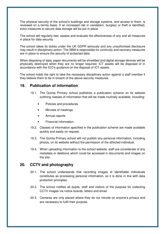The physical security of the school's buildings and storage systems, and access to them, is reviewed on a termly basis. If an increased risk in vandalism, burglary or theft is identified, extra measures to secure data storage will be put in place.

The school will regularly test, assess and evaluate the effectiveness of any and all measures in place for data security.

The school takes its duties under the UK GDPR seriously and any unauthorised disclosure may result in disciplinary action. The SBM is responsible for continuity and recovery measures are in place to ensure the security of protected data.

When disposing of data, paper documents will be shredded and digital storage devices will be physically destroyed when they are no longer required. ICT assets will be disposed of in accordance with the ICO's guidance on the disposal of ICT assets.

The school holds the right to take the necessary disciplinary action against a staff member if they believe them to be in breach of the above security measures.

## **19. Publication of information**

- 19.1. The Quinta Primary school publishes a publication scheme on its website outlining classes of information that will be made routinely available, including:
	- Policies and procedures
	- Minutes of meetings
	- Annual reports
	- Financial information
- 19.2. Classes of information specified in the publication scheme are made available quickly and easily on request.
- 19.3. The Quinta Primary school will not publish any personal information, including photos, on its website without the permission of the affected individual.
- 19.4. When uploading information to the school website, staff are considerate of any metadata or deletions which could be accessed in documents and images on the site.

# **20. CCTV and photography**

- 20.1. The school understands that recording images of identifiable individuals constitutes as processing personal information, so it is done in line with data protection principles.
- 20.2. The school notifies all pupils, staff and visitors of the purpose for collecting CCTV images via notice boards, letters and email.
- 20.3. Cameras are only placed where they do not intrude on anyone's privacy and are necessary to fulfil their purpose.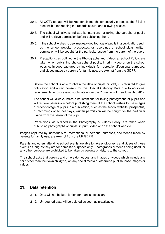- 20.4. All CCTV footage will be kept for six months for security purposes; the SBM is responsible for keeping the records secure and allowing access.
- 20.5. The school will always indicate its intentions for taking photographs of pupils and will retrieve permission before publishing them.
- 20.6. If the school wishes to use images/video footage of pupils in a publication, such as the school website, prospectus, or recordings of school plays, written permission will be sought for the particular usage from the parent of the pupil.
- 20.7. Precautions, as outlined in the Photography and Videos at School Policy, are taken when publishing photographs of pupils, in print, video or on the school website. Images captured by individuals for recreational/personal purposes, and videos made by parents for family use, are exempt from the GDPR.

Before the school is able to obtain the data of pupils or staff, it is required to give notification and obtain consent for this Special Category Data due to additional requirements for processing such data under the Protection of Freedoms Act 2012.

The school will always indicate its intentions for taking photographs of pupils and will retrieve permission before publishing them. If the school wishes to use images or video footage of pupils in a publication, such as the school website, prospectus, or recordings of school plays, written permission will be sought for the particular usage from the parent of the pupil.

Precautions, as outlined in the Photography & Videos Policy, are taken when publishing photographs of pupils, in print, video or on the school website.

Images captured by individuals for recreational or personal purposes, and videos made by parents for family use, are exempt from the UK GDPR.

Parents and others attending school events are able to take photographs and videos of those events as long as they are for domestic purposes only. Photographs or videos being used for any other purpose are prohibited to be taken by parents or visitors to the school.

The school asks that parents and others do not post any images or videos which include any child other than their own child(ren) on any social media or otherwise publish those images or videos.

### **21. Data retention**

- 21.1. Data will not be kept for longer than is necessary.
- 21.2. Unrequired data will be deleted as soon as practicable.